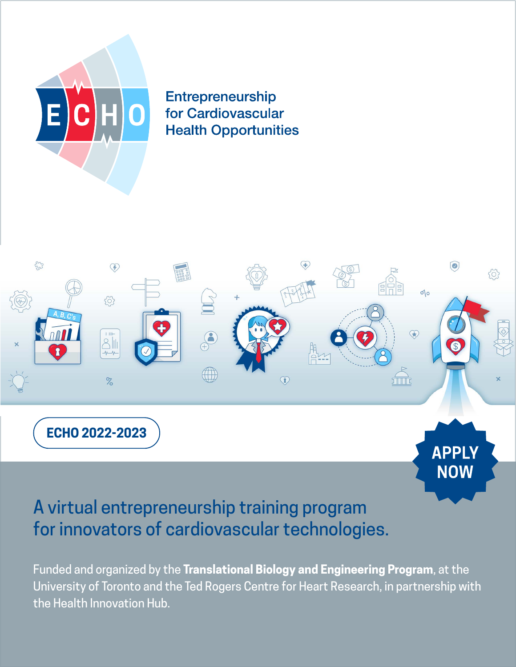

Entrepreneurship for Cardiovascular **Health Opportunities** 



# A virtual entrepreneurship training program for innovators of cardiovascular technologies.

Funded and organized by the **Translational Biology and Engineering Program**, at the University of Toronto and the Ted Rogers Centre for Heart Research, in partnership with the Health Innovation Hub.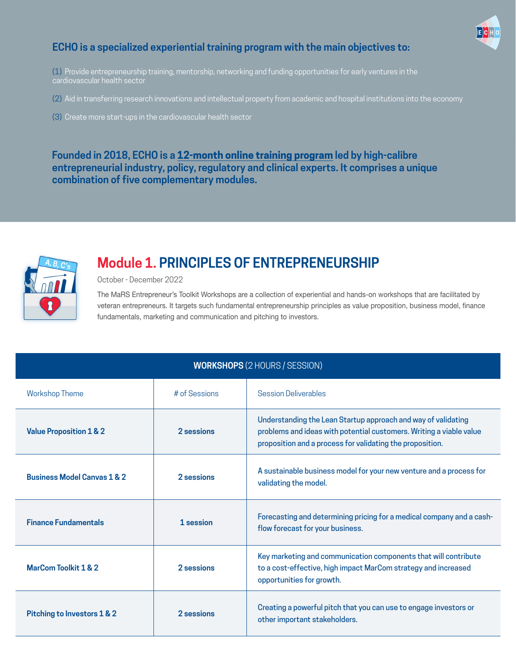

### **ECHO is a specialized experiential training program with the main objectives to:**

(1) Provide entrepreneurship training, mentorship, networking and funding opportunities for early ventures in the

(2) Aid in transferring research innovations and intellectual property from academic and hospital institutions into the economy

(3) Create more start-ups in the cardiovascular health sector

**Founded in 2018, ECHO is a 12-month online training program led by high-calibre entrepreneurial industry, policy, regulatory and clinical experts. It comprises a unique combination of five complementary modules.**



## **Module 1. PRINCIPLES OF ENTREPRENEURSHIP**

October - December 2022

The MaRS Entrepreneur's Toolkit Workshops are a collection of experiential and hands-on workshops that are facilitated by veteran entrepreneurs. It targets such fundamental entrepreneurship principles as value proposition, business model, finance fundamentals, marketing and communication and pitching to investors.

| <b>WORKSHOPS (2 HOURS / SESSION)</b>   |               |                                                                                                                                                                                                   |  |
|----------------------------------------|---------------|---------------------------------------------------------------------------------------------------------------------------------------------------------------------------------------------------|--|
| <b>Workshop Theme</b>                  | # of Sessions | <b>Session Deliverables</b>                                                                                                                                                                       |  |
| <b>Value Proposition 1 &amp; 2</b>     | 2 sessions    | Understanding the Lean Startup approach and way of validating<br>problems and ideas with potential customers. Writing a viable value<br>proposition and a process for validating the proposition. |  |
| <b>Business Model Canvas 1 &amp; 2</b> | 2 sessions    | A sustainable business model for your new venture and a process for<br>validating the model.                                                                                                      |  |
| <b>Finance Fundamentals</b>            | 1 session     | Forecasting and determining pricing for a medical company and a cash-<br>flow forecast for your business.                                                                                         |  |
| MarCom Toolkit 1 & 2                   | 2 sessions    | Key marketing and communication components that will contribute<br>to a cost-effective, high impact MarCom strategy and increased<br>opportunities for growth.                                    |  |
| <b>Pitching to Investors 1 &amp; 2</b> | 2 sessions    | Creating a powerful pitch that you can use to engage investors or<br>other important stakeholders.                                                                                                |  |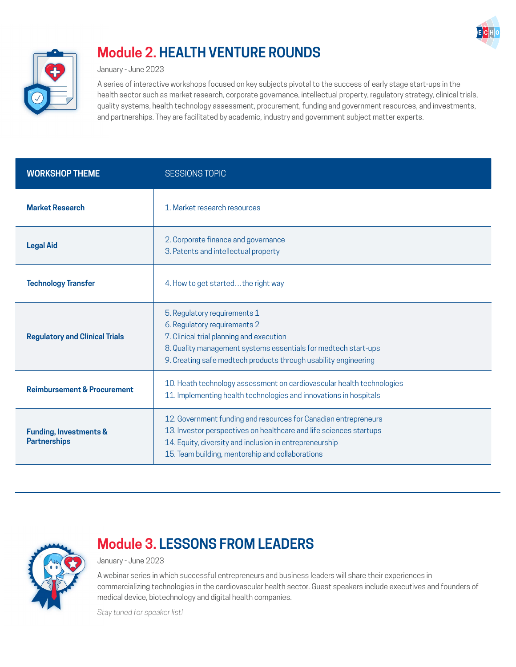



## **Module 2. HEALTH VENTURE ROUNDS**

January - June 2023

A series of interactive workshops focused on key subjects pivotal to the success of early stage start-ups in the health sector such as market research, corporate governance, intellectual property, regulatory strategy, clinical trials, quality systems, health technology assessment, procurement, funding and government resources, and investments, and partnerships. They are facilitated by academic, industry and government subject matter experts.

| <b>WORKSHOP THEME</b>                                    | <b>SESSIONS TOPIC</b>                                                                                                                                                                                                                                |  |  |
|----------------------------------------------------------|------------------------------------------------------------------------------------------------------------------------------------------------------------------------------------------------------------------------------------------------------|--|--|
| <b>Market Research</b>                                   | 1. Market research resources                                                                                                                                                                                                                         |  |  |
| <b>Legal Aid</b>                                         | 2. Corporate finance and governance<br>3. Patents and intellectual property                                                                                                                                                                          |  |  |
| <b>Technology Transfer</b>                               | 4. How to get startedthe right way                                                                                                                                                                                                                   |  |  |
| <b>Regulatory and Clinical Trials</b>                    | 5. Regulatory requirements 1<br>6. Regulatory requirements 2<br>7. Clinical trial planning and execution<br>8. Quality management systems essentials for medtech start-ups<br>9. Creating safe medtech products through usability engineering        |  |  |
| <b>Reimbursement &amp; Procurement</b>                   | 10. Heath technology assessment on cardiovascular health technologies<br>11. Implementing health technologies and innovations in hospitals                                                                                                           |  |  |
| <b>Funding, Investments &amp;</b><br><b>Partnerships</b> | 12. Government funding and resources for Canadian entrepreneurs<br>13. Investor perspectives on healthcare and life sciences startups<br>14. Equity, diversity and inclusion in entrepreneurship<br>15. Team building, mentorship and collaborations |  |  |



## **Module 3. LESSONS FROM LEADERS**

January - June 2023

A webinar series in which successful entrepreneurs and business leaders will share their experiences in commercializing technologies in the cardiovascular health sector. Guest speakers include executives and founders of medical device, biotechnology and digital health companies.

*Stay tuned for speaker list!*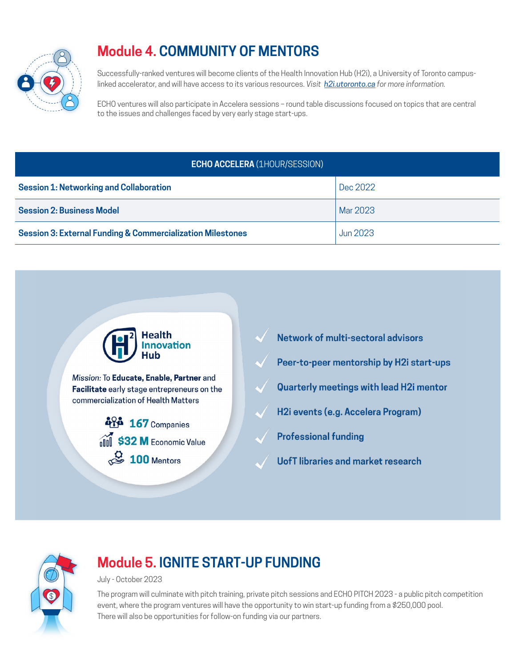

## **Module 4. COMMUNITY OF MENTORS**

Successfully-ranked ventures will become clients of the Health Innovation Hub (H2i), a University of Toronto campuslinked accelerator, and will have access to its various resources. *Visit [h2i.utoronto.ca](http://h2i.utoronto.ca) for more information.*

ECHO ventures will also participate in Accelera sessions – round table discussions focused on topics that are central to the issues and challenges faced by very early stage start-ups.

### **ECHO ACCELERA** (1HOUR/SESSION)

| <b>Session 1: Networking and Collaboration</b>                        | Dec 2022        |
|-----------------------------------------------------------------------|-----------------|
| <b>Session 2: Business Model</b>                                      | Mar 2023        |
| <b>Session 3: External Funding &amp; Commercialization Milestones</b> | <b>Jun 2023</b> |





## **Module 5. IGNITE START-UP FUNDING**

July - October 2023

The program will culminate with pitch training, private pitch sessions and ECHO PITCH 2023 - a public pitch competition event, where the program ventures will have the opportunity to win start-up funding from a \$250,000 pool. There will also be opportunities for follow-on funding via our partners.